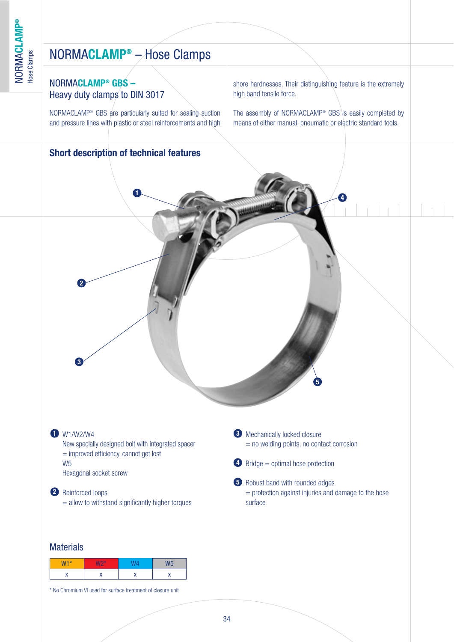## NORMA**CLAMP®** – Hose Clamps

### NORMA**CLAMP® GBS –** Heavy duty clamps to DIN 3017

NORMACLAMP® GBS are particularly suited for sealing suction and pressure lines with plastic or steel reinforcements and high

### **Short description of technical features**

shore hardnesses. Their distinguishing feature is the extremely high band tensile force.

The assembly of NORMACLAMP<sup>®</sup> GBS is easily completed by means of either manual, pneumatic or electric standard tools.

# **3** Mechanically locked closure  $=$  no welding points, no contact corrosion 4 Bridge = optimal hose protection **5** Robust band with rounded edges  $=$  protection against injuries and damage to the hose surface W1/W2/W4 **3 1** New specially designed bolt with integrated spacer = improved efficiency, cannot get lost W5 Hexagonal socket screw Reinforced loops **2**  $=$  allow to withstand significantly higher torques **1 3 2 4 5**

### **Materials**

| $W1*$<br>ш | $W2*$ |   |  |
|------------|-------|---|--|
|            |       | v |  |

\* No Chromium VI used for surface treatment of closure unit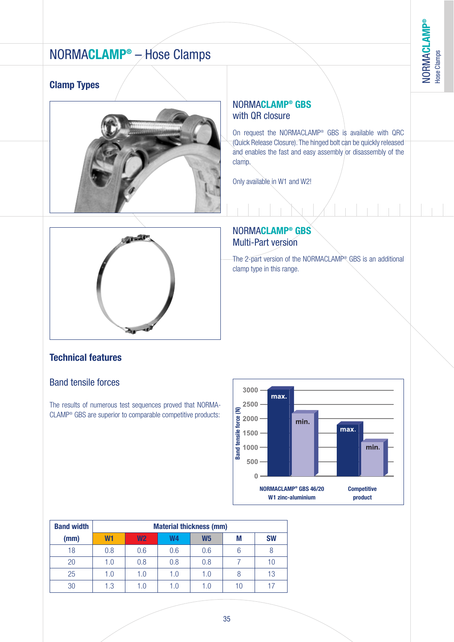**®**

## NORMA**CLAMP®** – Hose Clamps

### **Clamp Types**



### NORMA**CLAMP® GBS** with QR closure

On request the NORMACLAMP® GBS is available with QRC (Quick Release Closure). The hinged bolt can be quickly released and enables the fast and easy assembly or disassembly of the clamp.

Only available in W1 and W2!



### NORMA**CLAMP® GBS** Multi-Part version

The 2-part version of the NORMACLAMP® GBS is an additional clamp type in this range.

### **Technical features**

### Band tensile forces

The results of numerous test sequences proved that NORMA-CLAMP® GBS are superior to comparable competitive products:



| <b>Band width</b> | <b>Material thickness (mm)</b> |                |     |                |    |           |  |  |
|-------------------|--------------------------------|----------------|-----|----------------|----|-----------|--|--|
| (mm)              | W <sub>1</sub>                 | W <sub>2</sub> | W4  | W <sub>5</sub> | М  | <b>SW</b> |  |  |
| 18                | 0.8                            | 0.6            | 0.6 | 0.6            | 6  |           |  |  |
| 20                | 1.0                            | 0.8            | 0.8 | 0.8            |    |           |  |  |
| 25                | 1.0                            | 1.0            | 1.0 | 1.0            | 8  | 13        |  |  |
| 30                | 1.3                            | 1.0            | 1.0 | 1.0            | 10 | 17        |  |  |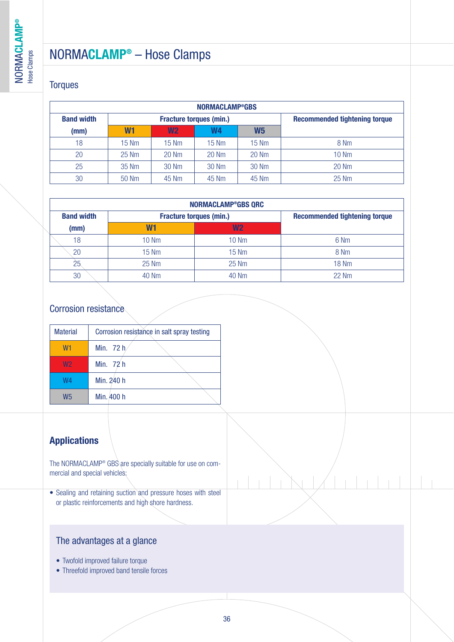### NORMA**CLAMP®** – Hose Clamps

### **Torques**

| <b>NORMACLAMP®GBS</b> |                |                                |                 |                                      |                 |  |  |  |  |
|-----------------------|----------------|--------------------------------|-----------------|--------------------------------------|-----------------|--|--|--|--|
| <b>Band width</b>     |                | <b>Fracture torques (min.)</b> |                 | <b>Recommended tightening torque</b> |                 |  |  |  |  |
| (mm)                  | W <sub>1</sub> | W <sub>2</sub>                 | W4              | <b>W5</b>                            |                 |  |  |  |  |
| 18                    | $15$ Nm        | $15 \text{ Nm}$                | $15 \text{ Nm}$ | <b>15 Nm</b>                         | 8 Nm            |  |  |  |  |
| 20                    | 25 Nm          | 20 Nm                          | 20 Nm           | 20 Nm                                | $10 \text{ Nm}$ |  |  |  |  |
| 25                    | 35 Nm          | 30 Nm                          | 30 Nm           | 30 Nm                                | 20 Nm           |  |  |  |  |
| 30                    | 50 Nm          | 45 Nm                          | 45 Nm           | 45 Nm                                | 25 Nm           |  |  |  |  |

| NORMACLAMP®GBS QRC |                |                                |                                      |  |  |  |  |  |
|--------------------|----------------|--------------------------------|--------------------------------------|--|--|--|--|--|
| <b>Band width</b>  |                | <b>Fracture torques (min.)</b> | <b>Recommended tightening torque</b> |  |  |  |  |  |
| (mm)               | W <sub>1</sub> | W <sub>2</sub>                 |                                      |  |  |  |  |  |
| 18                 | 10 Nm          | $10 \text{ Nm}$                | 6 Nm                                 |  |  |  |  |  |
| 20                 | 15 Nm          | <b>15 Nm</b>                   | 8 Nm                                 |  |  |  |  |  |
| 25                 | 25 Nm          | 25 Nm                          | <b>18 Nm</b>                         |  |  |  |  |  |
| 30                 | 40 Nm          | 40 Nm                          | 22 Nm                                |  |  |  |  |  |

### Corrosion resistance

| <b>Material</b> | Corrosion resistance in salt spray testing |  |  |  |  |  |
|-----------------|--------------------------------------------|--|--|--|--|--|
| W <sub>1</sub>  | Min. 72 h.                                 |  |  |  |  |  |
| W <sub>2</sub>  | Min. 72 h                                  |  |  |  |  |  |
| W4              | Min. 240 h                                 |  |  |  |  |  |
| W5              | Min. 400 h                                 |  |  |  |  |  |

### **Applications**

The NORMACLAMP® GBS are specially suitable for use on commercial and special vehicles:

• Sealing and retaining suction and pressure hoses with steel or plastic reinforcements and high shore hardness.

### The advantages at a glance

- Twofold improved failure torque
- Threefold improved band tensile forces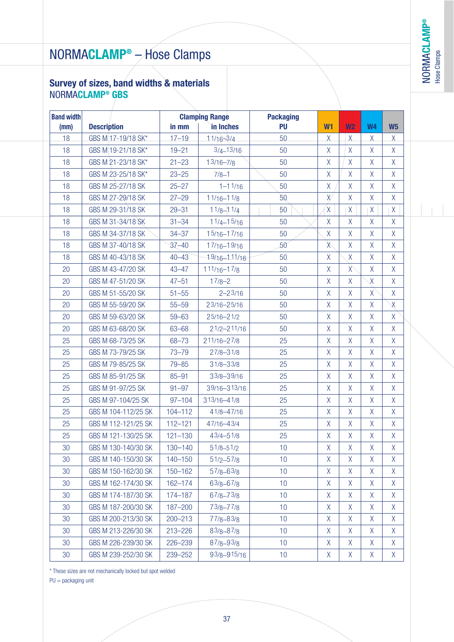NORMA**CLAMP** Hose Clamps

**®**

# NORMA**CLAMP®** – Hose Clamps

### **Survey of sizes, band widths & materials** NORMA**CLAMP® GBS**

| <b>Band width</b> |                     | <b>Clamping Range</b> |                 | <b>Packaging</b> |                    |                |                    |                |
|-------------------|---------------------|-----------------------|-----------------|------------------|--------------------|----------------|--------------------|----------------|
| (mm)              | <b>Description</b>  | in mm                 | in Inches       | <b>PU</b>        | W <sub>1</sub>     | W <sub>2</sub> | <b>W4</b>          | W <sub>5</sub> |
| 18                | GBS M 17-19/18 SK*  | $17 - 19$             | $11/16 - 3/4$   | 50               | X                  | $\mathsf{X}$   | X                  | X.             |
| 18                | GBS M 19-21/18 SK*  | $19 - 21$             | $3/4 - 13/16$   | 50               | $\mathsf{X}$       | $\overline{X}$ | $\sf X$            | $\mathsf{X}$   |
| 18                | GBS M 21-23/18 SK*  | $21 - 23$             | $13/16 - 7/8$   | 50               | $\chi$             | X              | $\chi$             | $\mathsf{X}$   |
| 18                | GBS M 23-25/18 SK*  | $23 - 25$             | $7/8 - 1$       | 50               | $\chi$             | $\mathsf{X}$   | $\sf X$            | $\mathsf{X}$   |
| 18                | GBS M 25-27/18 SK   | $25 - 27$             | $1 - 11/16$     | 50               | $\mathsf{X}% _{0}$ | $\overline{X}$ | $\sf X$            | $\mathsf{X}$   |
| 18                | GBS M 27-29/18 SK   | $27 - 29$             | $11/16 - 11/8$  | 50               | $\chi$             | X              | $\sf X$            | X              |
| 18                | GBS M 29-31/18 SK   | $29 - 31$             | $11/8 - 11/4$   | 50               | $\mathsf{X}$       | $\mathsf{X}$   | $\mathsf{X}% _{0}$ | $\mathsf{X}$   |
| 18                | GBS M 31-34/18 SK   | $31 - 34$             | $11/4 - 15/16$  | 50               | $\chi$             | X              | $\sf X$            | X.             |
| 18                | GBS M 34-37/18 SK   | $34 - 37$             | $15/16 - 17/16$ | 50               | X                  | χ              | X                  | $\mathsf{X}$   |
| 18                | GBS M 37-40/18 SK   | $37 - 40$             | $17/16 - 19/16$ | 50 <sup>°</sup>  | $\chi$             | $\mathsf{X}$   | $\sf X$            | $\mathsf{X}$   |
| 18                | GBS M 40-43/18 SK   | $40 - 43$             | 19/16-111/16    | 50               | $\mathsf{X}% _{0}$ | X              | $\sf X$            | X              |
| 20                | GBS M 43-47/20 SK   | $43 - 47$             | $111/16 - 17/8$ | 50               | $\mathsf{X}$       | $\chi$         | $\sf X$            | $\mathsf{X}$   |
| 20                | GBS M 47-51/20 SK   | $47 - 51$             | $17/8 - 2$      | 50               | $\sf X$            | X              | $\chi$             | X.             |
| 20                | GBS M 51-55/20 SK   | $51 - 55$             | $2 - 23/16$     | 50               | $\chi$             | Χ              | X                  | $\mathsf{X}$   |
| 20                | GBS M 55-59/20 SK   | $55 - 59$             | 23/16-25/16     | 50               | $\sf X$            | $\overline{X}$ | $\sf X$            | $\chi$         |
| 20                | GBS M 59-63/20 SK   | $59 - 63$             | $25/16 - 21/2$  | 50               | $\chi$             | X              | $\sf X$            | X              |
| 20                | GBS M 63-68/20 SK   | $63 - 68$             | $21/2 - 211/16$ | 50               | $\sf X$            | $\mathsf{X}$   | $\sf X$            | $\mathsf{X}$   |
| 25                | GBS M 68-73/25 SK   | $68 - 73$             | 211/16-27/8     | 25               | $\sf X$            | X              | X                  | X.             |
| 25                | GBS M 73-79/25 SK   | $73 - 79$             | $27/8 - 31/8$   | 25               | $\sf X$            | X              | X                  | $\mathsf{X}$   |
| 25                | GBS M 79-85/25 SK   | $79 - 85$             | $31/8 - 33/8$   | 25               | $\sf X$            | $\mathsf{X}$   | $\sf X$            | $\mathsf{X}$   |
| 25                | GBS M 85-91/25 SK   | $85 - 91$             | 33/8-39/16      | 25               | $\chi$             | X              | $\sf X$            | X              |
| 25                | GBS M 91-97/25 SK   | $91 - 97$             | 39/16-313/16    | 25               | $\sf X$            | $\mathsf{X}$   | $\sf X$            | $\mathsf{X}$   |
| 25                | GBS M 97-104/25 SK  | $97 - 104$            | 313/16-41/8     | 25               | $\sf X$            | X              | X                  | X.             |
| 25                | GBS M 104-112/25 SK | 104-112               | 41/8-47/16      | 25               | $\chi$             | X              | $\sf X$            | $\mathsf{X}$   |
| 25                | GBS M 112-121/25 SK | $112 - 121$           | 47/16-43/4      | 25               | $\sf X$            | $\mathsf{X}$   | $\sf X$            | $\mathsf{X}$   |
| 25                | GBS M 121-130/25 SK | $121 - 130$           | $43/4 - 51/8$   | 25               | $\sf X$            | X              | $\sf X$            | X              |
| 30                | GBS M 130-140/30 SK | $130 - 140$           | $51/8 - 51/2$   | 10               | $\sf X$            | $\mathsf{X}$   | $\sf X$            | $\mathsf{X}$   |
| 30                | GBS M 140-150/30 SK | $140 - 150$           | $51/2 - 57/8$   | 10               | X                  | X              | X                  | X              |
| 30                | GBS M 150-162/30 SK | $150 - 162$           | $57/8 - 63/8$   | 10               | X                  | X              | $\sf X$            | X              |
| 30                | GBS M 162-174/30 SK | 162-174               | $63/8 - 67/8$   | 10               | $\mathsf{X}$       | $\mathsf{X}$   | $\sf X$            | X              |
| 30                | GBS M 174-187/30 SK | 174-187               | $67/8 - 73/8$   | 10               | Χ                  | X              | Χ                  | X              |
| 30                | GBS M 187-200/30 SK | 187-200               | 73/8-77/8       | 10               | $\sf X$            | $\mathsf{X}$   | $\mathsf X$        | X              |
| 30                | GBS M 200-213/30 SK | $200 - 213$           | 77/8-83/8       | 10               | X                  | $\mathsf{X}$   | Χ                  | X              |
| 30                | GBS M 213-226/30 SK | $213 - 226$           | $83/8 - 87/8$   | 10               | X                  | X              | $\sf X$            | χ              |
| 30                | GBS M 226-239/30 SK | 226-239               | $87/8 - 93/8$   | 10               | $\mathsf{X}% _{0}$ | $\mathsf{X}$   | $\sf X$            | $\mathsf{X}$   |
| 30                | GBS M 239-252/30 SK | 239-252               | 93/8-915/16     | 10               | Χ                  | X              | X                  | X              |

\* These sizes are not mechanically locked but spot welded

PU = packaging unit